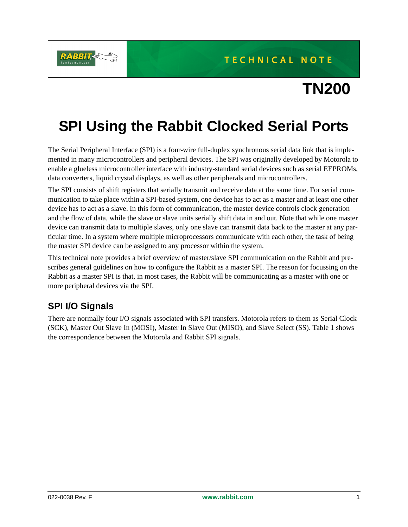

# **TN200**

## **SPI Using the Rabbit Clocked Serial Ports**

The Serial Peripheral Interface (SPI) is a four-wire full-duplex synchronous serial data link that is implemented in many microcontrollers and peripheral devices. The SPI was originally developed by Motorola to enable a glueless microcontroller interface with industry-standard serial devices such as serial EEPROMs, data converters, liquid crystal displays, as well as other peripherals and microcontrollers.

The SPI consists of shift registers that serially transmit and receive data at the same time. For serial communication to take place within a SPI-based system, one device has to act as a master and at least one other device has to act as a slave. In this form of communication, the master device controls clock generation and the flow of data, while the slave or slave units serially shift data in and out. Note that while one master device can transmit data to multiple slaves, only one slave can transmit data back to the master at any particular time. In a system where multiple microprocessors communicate with each other, the task of being the master SPI device can be assigned to any processor within the system.

This technical note provides a brief overview of master/slave SPI communication on the Rabbit and prescribes general guidelines on how to configure the Rabbit as a master SPI. The reason for focussing on the Rabbit as a master SPI is that, in most cases, the Rabbit will be communicating as a master with one or more peripheral devices via the SPI.

## **SPI I/O Signals**

There are normally four I/O signals associated with SPI transfers. Motorola refers to them as Serial Clock (SCK), Master Out Slave In (MOSI), Master In Slave Out (MISO), and Slave Select (SS). Table 1 shows the correspondence between the Motorola and Rabbit SPI signals.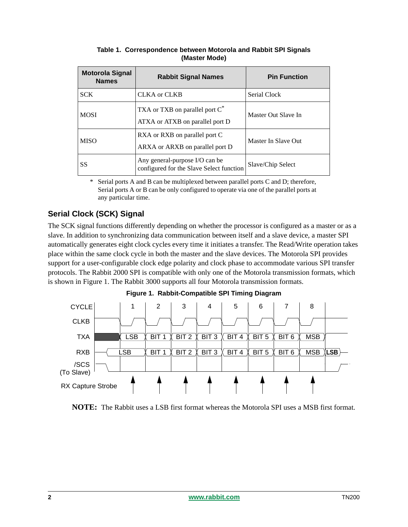| <b>Motorola Signal</b><br><b>Names</b> | <b>Rabbit Signal Names</b>                                                    | <b>Pin Function</b> |
|----------------------------------------|-------------------------------------------------------------------------------|---------------------|
| <b>SCK</b>                             | <b>CLKA</b> or <b>CLKB</b>                                                    | Serial Clock        |
| <b>MOSI</b>                            | TXA or TXB on parallel port C <sup>*</sup><br>ATXA or ATXB on parallel port D | Master Out Slave In |
| <b>MISO</b>                            | RXA or RXB on parallel port C<br>ARXA or ARXB on parallel port D              | Master In Slave Out |
| <b>SS</b>                              | Any general-purpose I/O can be<br>configured for the Slave Select function    | Slave/Chip Select   |

**Table 1. Correspondence between Motorola and Rabbit SPI Signals (Master Mode)**

\* Serial ports A and B can be multiplexed between parallel ports C and D; therefore, Serial ports A or B can be only configured to operate via one of the parallel ports at any particular time.

## **Serial Clock (SCK) Signal**

The SCK signal functions differently depending on whether the processor is configured as a master or as a slave. In addition to synchronizing data communication between itself and a slave device, a master SPI automatically generates eight clock cycles every time it initiates a transfer. The Read/Write operation takes place within the same clock cycle in both the master and the slave devices. The Motorola SPI provides support for a user-configurable clock edge polarity and clock phase to accommodate various SPI transfer protocols. The Rabbit 2000 SPI is compatible with only one of the Motorola transmission formats, which is shown in Figure 1. The Rabbit 3000 supports all four Motorola transmission formats.



**Figure 1. Rabbit-Compatible SPI Timing Diagram**

**NOTE:** The Rabbit uses a LSB first format whereas the Motorola SPI uses a MSB first format.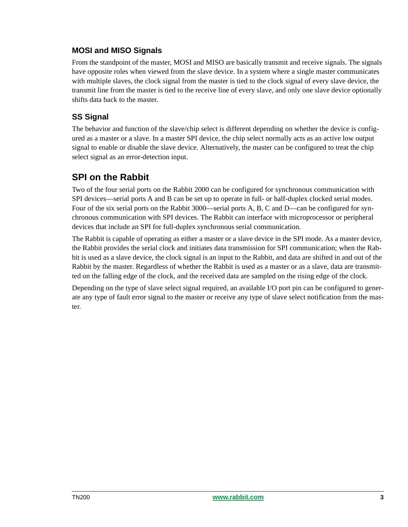### **MOSI and MISO Signals**

From the standpoint of the master, MOSI and MISO are basically transmit and receive signals. The signals have opposite roles when viewed from the slave device. In a system where a single master communicates with multiple slaves, the clock signal from the master is tied to the clock signal of every slave device, the transmit line from the master is tied to the receive line of every slave, and only one slave device optionally shifts data back to the master.

## **SS Signal**

The behavior and function of the slave/chip select is different depending on whether the device is configured as a master or a slave. In a master SPI device, the chip select normally acts as an active low output signal to enable or disable the slave device. Alternatively, the master can be configured to treat the chip select signal as an error-detection input.

## **SPI on the Rabbit**

Two of the four serial ports on the Rabbit 2000 can be configured for synchronous communication with SPI devices—serial ports A and B can be set up to operate in full- or half-duplex clocked serial modes. Four of the six serial ports on the Rabbit 3000—serial ports A, B, C and D—can be configured for synchronous communication with SPI devices. The Rabbit can interface with microprocessor or peripheral devices that include an SPI for full-duplex synchronous serial communication.

The Rabbit is capable of operating as either a master or a slave device in the SPI mode. As a master device, the Rabbit provides the serial clock and initiates data transmission for SPI communication; when the Rabbit is used as a slave device, the clock signal is an input to the Rabbit, and data are shifted in and out of the Rabbit by the master. Regardless of whether the Rabbit is used as a master or as a slave, data are transmitted on the falling edge of the clock, and the received data are sampled on the rising edge of the clock.

Depending on the type of slave select signal required, an available I/O port pin can be configured to generate any type of fault error signal to the master or receive any type of slave select notification from the master.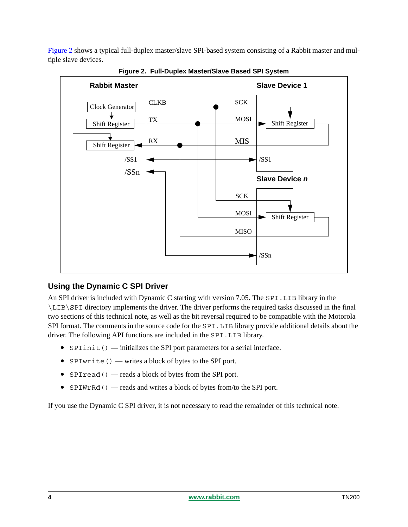[Figure 2](#page-3-0) shows a typical full-duplex master/slave SPI-based system consisting of a Rabbit master and multiple slave devices.

<span id="page-3-0"></span>

**Figure 2. Full-Duplex Master/Slave Based SPI System**

#### **Using the Dynamic C SPI Driver**

An SPI driver is included with Dynamic C starting with version 7.05. The SPI.LIB library in the \LIB\SPI directory implements the driver. The driver performs the required tasks discussed in the final two sections of this technical note, as well as the bit reversal required to be compatible with the Motorola SPI format. The comments in the source code for the SPI. LIB library provide additional details about the driver. The following API functions are included in the SPI.LIB library.

- **SPIinit()** initializes the SPI port parameters for a serial interface.
- SPIwrite() writes a block of bytes to the SPI port.
- SPIread() reads a block of bytes from the SPI port.
- SPIWrRd() reads and writes a block of bytes from/to the SPI port.

If you use the Dynamic C SPI driver, it is not necessary to read the remainder of this technical note.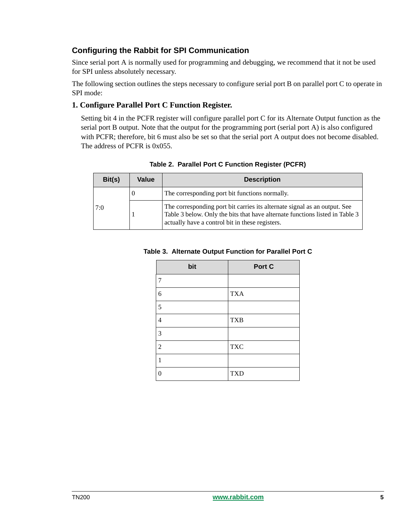## **Configuring the Rabbit for SPI Communication**

Since serial port A is normally used for programming and debugging, we recommend that it not be used for SPI unless absolutely necessary.

The following section outlines the steps necessary to configure serial port B on parallel port C to operate in SPI mode:

#### **1. Configure Parallel Port C Function Register.**

Setting bit 4 in the PCFR register will configure parallel port C for its Alternate Output function as the serial port B output. Note that the output for the programming port (serial port A) is also configured with PCFR; therefore, bit 6 must also be set so that the serial port A output does not become disabled. The address of PCFR is 0x055.

| Bit(s) | Value | <b>Description</b>                                                                                                                                                                                           |
|--------|-------|--------------------------------------------------------------------------------------------------------------------------------------------------------------------------------------------------------------|
|        | v     | The corresponding port bit functions normally.                                                                                                                                                               |
| 7:0    |       | The corresponding port bit carries its alternate signal as an output. See<br>Table 3 below. Only the bits that have alternate functions listed in Table 3<br>actually have a control bit in these registers. |

|  | Table 2. Parallel Port C Function Register (PCFR) |  |
|--|---------------------------------------------------|--|
|  |                                                   |  |

#### **Table 3. Alternate Output Function for Parallel Port C**

| bit            | Port C     |
|----------------|------------|
| 7              |            |
| 6              | <b>TXA</b> |
| 5              |            |
| $\overline{4}$ | <b>TXB</b> |
| 3              |            |
| $\overline{2}$ | <b>TXC</b> |
| 1              |            |
| $\theta$       | <b>TXD</b> |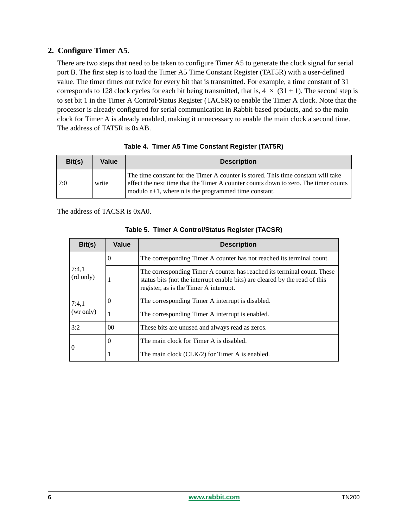#### **2. Configure Timer A5.**

There are two steps that need to be taken to configure Timer A5 to generate the clock signal for serial port B. The first step is to load the Timer A5 Time Constant Register (TAT5R) with a user-defined value. The timer times out twice for every bit that is transmitted. For example, a time constant of 31 corresponds to 128 clock cycles for each bit being transmitted, that is,  $4 \times (31 + 1)$ . The second step is to set bit 1 in the Timer A Control/Status Register (TACSR) to enable the Timer A clock. Note that the processor is already configured for serial communication in Rabbit-based products, and so the main clock for Timer A is already enabled, making it unnecessary to enable the main clock a second time. The address of TAT5R is 0xAB.

| Bit(s) | Value | <b>Description</b>                                                                                                                                                                                                                  |
|--------|-------|-------------------------------------------------------------------------------------------------------------------------------------------------------------------------------------------------------------------------------------|
| 7:0    | write | The time constant for the Timer A counter is stored. This time constant will take<br>effect the next time that the Timer A counter counts down to zero. The timer counts<br>modulo $n+1$ , where n is the programmed time constant. |

|  |  | Table 4. Timer A5 Time Constant Register (TAT5R) |  |  |
|--|--|--------------------------------------------------|--|--|
|--|--|--------------------------------------------------|--|--|

The address of TACSR is 0xA0.

| Bit(s)             | Value    | <b>Description</b>                                                                                                                                                                               |
|--------------------|----------|--------------------------------------------------------------------------------------------------------------------------------------------------------------------------------------------------|
| 7:4,1<br>(rd only) | 0        | The corresponding Timer A counter has not reached its terminal count.                                                                                                                            |
|                    |          | The corresponding Timer A counter has reached its terminal count. These<br>status bits (not the interrupt enable bits) are cleared by the read of this<br>register, as is the Timer A interrupt. |
| 7:4,1<br>(wr only) | 0        | The corresponding Timer A interrupt is disabled.                                                                                                                                                 |
|                    |          | The corresponding Timer A interrupt is enabled.                                                                                                                                                  |
| 3:2                | $00\,$   | These bits are unused and always read as zeros.                                                                                                                                                  |
| $\Omega$           | $\theta$ | The main clock for Timer A is disabled.                                                                                                                                                          |
|                    | -1       | The main clock (CLK/2) for Timer A is enabled.                                                                                                                                                   |

#### **Table 5. Timer A Control/Status Register (TACSR)**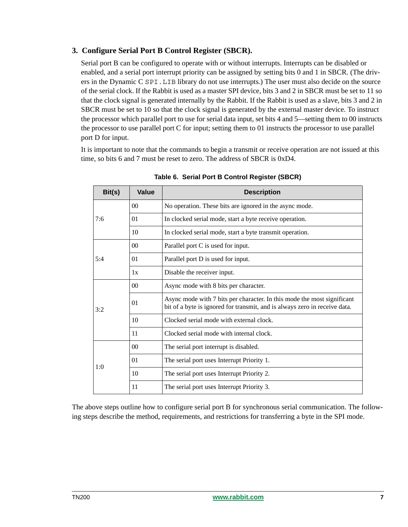#### **3. Configure Serial Port B Control Register (SBCR).**

Serial port B can be configured to operate with or without interrupts. Interrupts can be disabled or enabled, and a serial port interrupt priority can be assigned by setting bits 0 and 1 in SBCR. (The drivers in the Dynamic C SPI.LIB library do not use interrupts.) The user must also decide on the source of the serial clock. If the Rabbit is used as a master SPI device, bits 3 and 2 in SBCR must be set to 11 so that the clock signal is generated internally by the Rabbit. If the Rabbit is used as a slave, bits 3 and 2 in SBCR must be set to 10 so that the clock signal is generated by the external master device. To instruct the processor which parallel port to use for serial data input, set bits 4 and 5—setting them to 00 instructs the processor to use parallel port C for input; setting them to 01 instructs the processor to use parallel port D for input.

It is important to note that the commands to begin a transmit or receive operation are not issued at this time, so bits 6 and 7 must be reset to zero. The address of SBCR is 0xD4.

| Bit(s) | Value | <b>Description</b>                                                                                                                                    |
|--------|-------|-------------------------------------------------------------------------------------------------------------------------------------------------------|
| 7:6    | 00    | No operation. These bits are ignored in the async mode.                                                                                               |
|        | 01    | In clocked serial mode, start a byte receive operation.                                                                                               |
|        | 10    | In clocked serial mode, start a byte transmit operation.                                                                                              |
|        | 00    | Parallel port C is used for input.                                                                                                                    |
| 5:4    | 01    | Parallel port D is used for input.                                                                                                                    |
|        | 1x    | Disable the receiver input.                                                                                                                           |
|        | 00    | Async mode with 8 bits per character.                                                                                                                 |
| 3:2    | 01    | Async mode with 7 bits per character. In this mode the most significant<br>bit of a byte is ignored for transmit, and is always zero in receive data. |
|        | 10    | Clocked serial mode with external clock.                                                                                                              |
|        | 11    | Clocked serial mode with internal clock.                                                                                                              |
| 1:0    | 00    | The serial port interrupt is disabled.                                                                                                                |
|        | 01    | The serial port uses Interrupt Priority 1.                                                                                                            |
|        | 10    | The serial port uses Interrupt Priority 2.                                                                                                            |
|        | 11    | The serial port uses Interrupt Priority 3.                                                                                                            |

**Table 6. Serial Port B Control Register (SBCR)**

The above steps outline how to configure serial port B for synchronous serial communication. The following steps describe the method, requirements, and restrictions for transferring a byte in the SPI mode.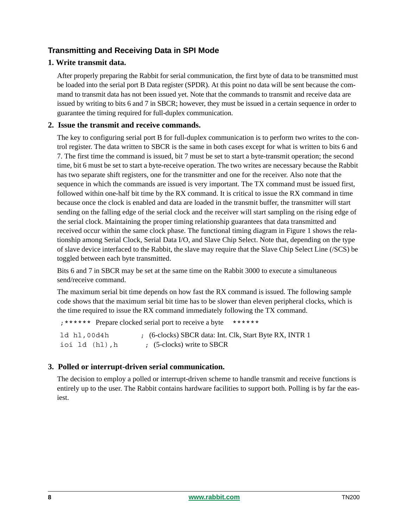## **Transmitting and Receiving Data in SPI Mode**

#### **1. Write transmit data.**

After properly preparing the Rabbit for serial communication, the first byte of data to be transmitted must be loaded into the serial port B Data register (SPDR). At this point no data will be sent because the command to transmit data has not been issued yet. Note that the commands to transmit and receive data are issued by writing to bits 6 and 7 in SBCR; however, they must be issued in a certain sequence in order to guarantee the timing required for full-duplex communication.

#### **2. Issue the transmit and receive commands.**

The key to configuring serial port B for full-duplex communication is to perform two writes to the control register. The data written to SBCR is the same in both cases except for what is written to bits 6 and 7. The first time the command is issued, bit 7 must be set to start a byte-transmit operation; the second time, bit 6 must be set to start a byte-receive operation. The two writes are necessary because the Rabbit has two separate shift registers, one for the transmitter and one for the receiver. Also note that the sequence in which the commands are issued is very important. The TX command must be issued first, followed within one-half bit time by the RX command. It is critical to issue the RX command in time because once the clock is enabled and data are loaded in the transmit buffer, the transmitter will start sending on the falling edge of the serial clock and the receiver will start sampling on the rising edge of the serial clock. Maintaining the proper timing relationship guarantees that data transmitted and received occur within the same clock phase. The functional timing diagram in Figure 1 shows the relationship among Serial Clock, Serial Data I/O, and Slave Chip Select. Note that, depending on the type of slave device interfaced to the Rabbit, the slave may require that the Slave Chip Select Line (/SCS) be toggled between each byte transmitted.

Bits 6 and 7 in SBCR may be set at the same time on the Rabbit 3000 to execute a simultaneous send/receive command.

The maximum serial bit time depends on how fast the RX command is issued. The following sample code shows that the maximum serial bit time has to be slower than eleven peripheral clocks, which is the time required to issue the RX command immediately following the TX command.

```
;****** Prepare clocked serial port to receive a byte ******
ld hl,00d4h ; (6-clocks) SBCR data: Int. Clk, Start Byte RX, INTR 1
ioi ld (hl), h ; (5-clocks) write to SBCR
```
#### **3. Polled or interrupt-driven serial communication.**

The decision to employ a polled or interrupt-driven scheme to handle transmit and receive functions is entirely up to the user. The Rabbit contains hardware facilities to support both. Polling is by far the easiest.